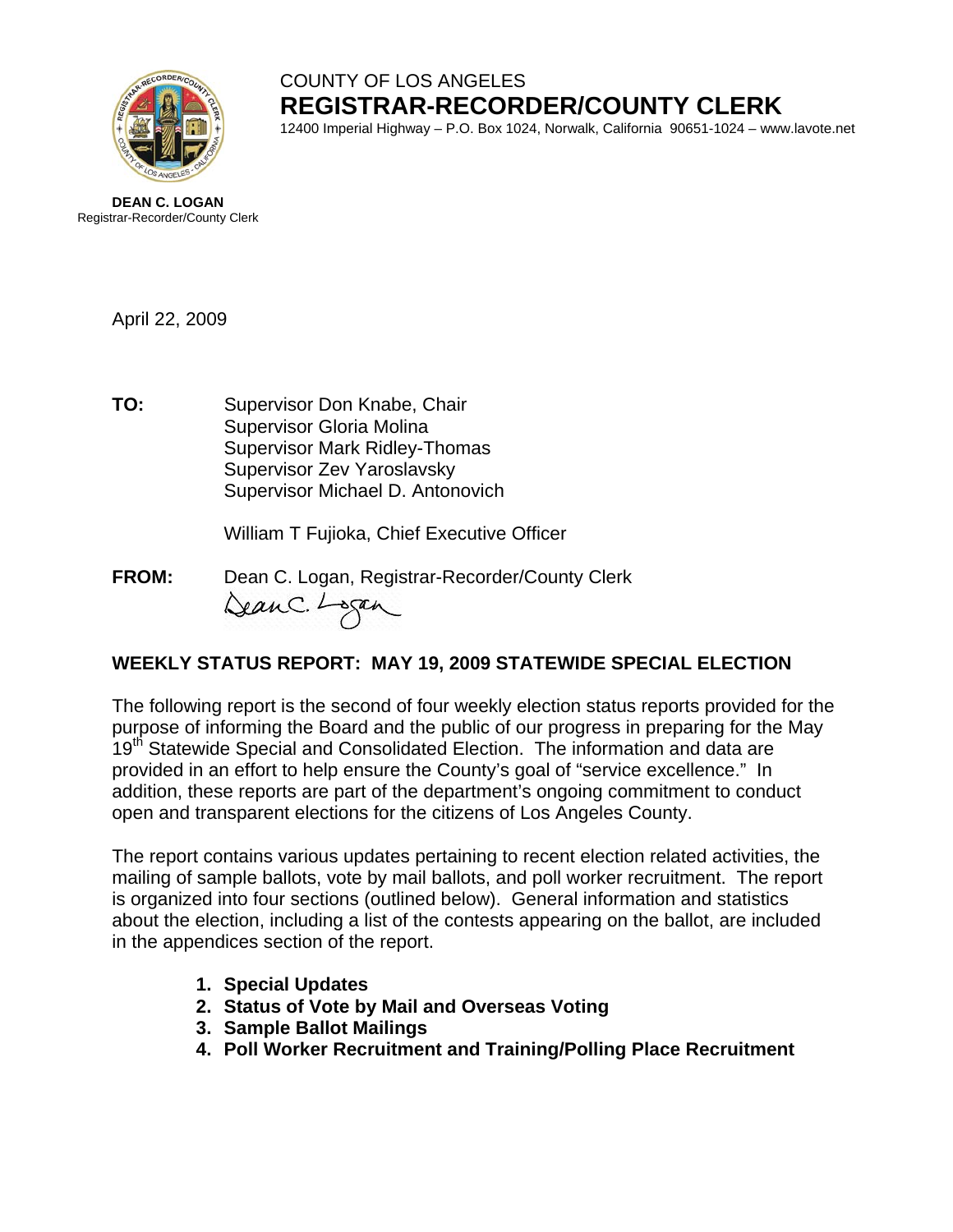

# COUNTY OF LOS ANGELES **REGISTRAR-RECORDER/COUNTY CLERK**

12400 Imperial Highway – P.O. Box 1024, Norwalk, California 90651-1024 – www.lavote.net



April 22, 2009

**TO:** Supervisor Don Knabe, Chair Supervisor Gloria Molina Supervisor Mark Ridley-Thomas Supervisor Zev Yaroslavsky Supervisor Michael D. Antonovich

William T Fujioka, Chief Executive Officer

**FROM:** Dean C. Logan, Registrar-Recorder/County Clerk DeanC. Logan

## **WEEKLY STATUS REPORT: MAY 19, 2009 STATEWIDE SPECIAL ELECTION**

The following report is the second of four weekly election status reports provided for the purpose of informing the Board and the public of our progress in preparing for the May 19<sup>th</sup> Statewide Special and Consolidated Election. The information and data are provided in an effort to help ensure the County's goal of "service excellence." In addition, these reports are part of the department's ongoing commitment to conduct open and transparent elections for the citizens of Los Angeles County.

The report contains various updates pertaining to recent election related activities, the mailing of sample ballots, vote by mail ballots, and poll worker recruitment. The report is organized into four sections (outlined below). General information and statistics about the election, including a list of the contests appearing on the ballot, are included in the appendices section of the report.

- **1. Special Updates**
- **2. Status of Vote by Mail and Overseas Voting**
- **3. Sample Ballot Mailings**
- **4. Poll Worker Recruitment and Training/Polling Place Recruitment**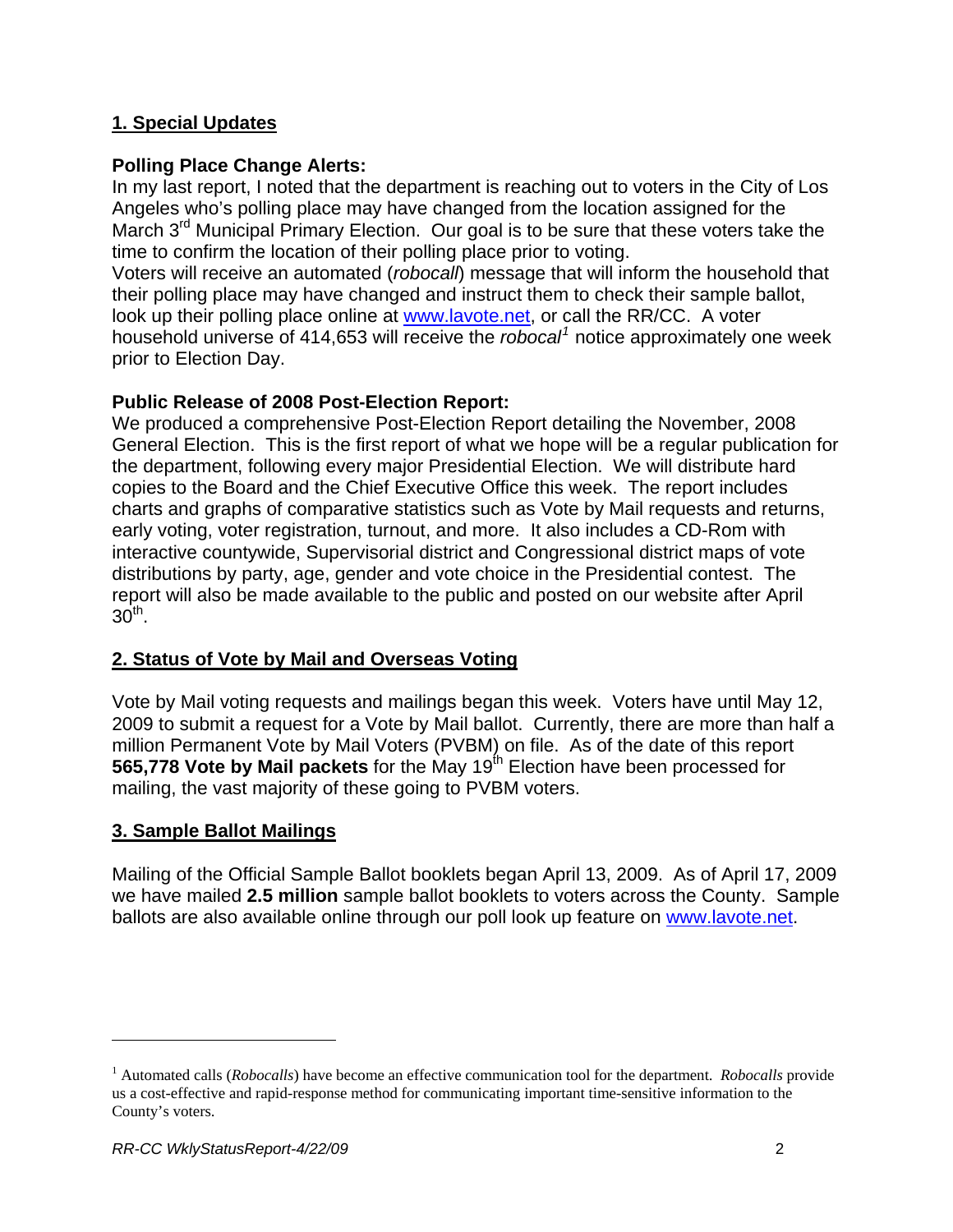## **1. Special Updates**

## **Polling Place Change Alerts:**

In my last report, I noted that the department is reaching out to voters in the City of Los Angeles who's polling place may have changed from the location assigned for the March  $3<sup>rd</sup>$  Municipal Primary Election. Our goal is to be sure that these voters take the time to confirm the location of their polling place prior to voting.

Voters will receive an automated (*robocall*) message that will inform the household that their polling place may have changed and instruct them to check their sample ballot, look up their polling place online at [www.lavote.net,](http://www.lavote.net/) or call the RR/CC. A voter household universe of 414,653 will receive the *robocal[1](#page-1-0)* notice approximately one week prior to Election Day.

## **Public Release of 2008 Post-Election Report:**

We produced a comprehensive Post-Election Report detailing the November, 2008 General Election. This is the first report of what we hope will be a regular publication for the department, following every major Presidential Election. We will distribute hard copies to the Board and the Chief Executive Office this week. The report includes charts and graphs of comparative statistics such as Vote by Mail requests and returns, early voting, voter registration, turnout, and more. It also includes a CD-Rom with interactive countywide, Supervisorial district and Congressional district maps of vote distributions by party, age, gender and vote choice in the Presidential contest. The report will also be made available to the public and posted on our website after April  $30<sup>th</sup>$ .

## **2. Status of Vote by Mail and Overseas Voting**

Vote by Mail voting requests and mailings began this week. Voters have until May 12, 2009 to submit a request for a Vote by Mail ballot. Currently, there are more than half a million Permanent Vote by Mail Voters (PVBM) on file. As of the date of this report **565,778 Vote by Mail packets** for the May 19th Election have been processed for mailing, the vast majority of these going to PVBM voters.

#### **3. Sample Ballot Mailings**

Mailing of the Official Sample Ballot booklets began April 13, 2009. As of April 17, 2009 we have mailed **2.5 million** sample ballot booklets to voters across the County. Sample ballots are also available online through our poll look up feature on [www.lavote.net.](http://www.lavote.net/)

l

<span id="page-1-0"></span><sup>&</sup>lt;sup>1</sup> Automated calls (*Robocalls*) have become an effective communication tool for the department. *Robocalls* provide us a cost-effective and rapid-response method for communicating important time-sensitive information to the County's voters.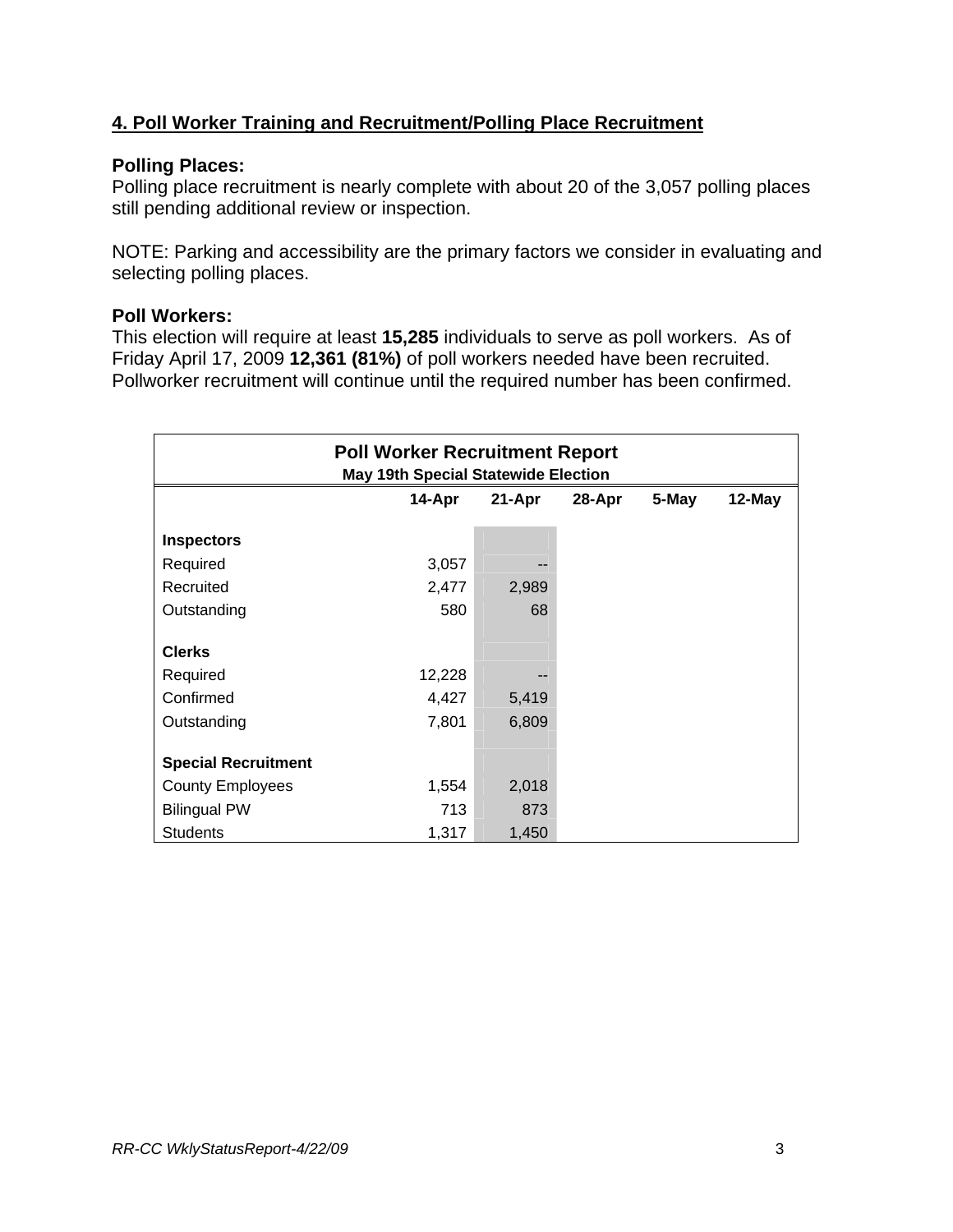# **4. Poll Worker Training and Recruitment/Polling Place Recruitment**

#### **Polling Places:**

Polling place recruitment is nearly complete with about 20 of the 3,057 polling places still pending additional review or inspection.

NOTE: Parking and accessibility are the primary factors we consider in evaluating and selecting polling places.

#### **Poll Workers:**

This election will require at least **15,285** individuals to serve as poll workers. As of Friday April 17, 2009 **12,361 (81%)** of poll workers needed have been recruited. Pollworker recruitment will continue until the required number has been confirmed.

| <b>Poll Worker Recruitment Report</b><br><b>May 19th Special Statewide Election</b> |        |        |        |       |        |  |
|-------------------------------------------------------------------------------------|--------|--------|--------|-------|--------|--|
|                                                                                     | 14-Apr | 21-Apr | 28-Apr | 5-May | 12-May |  |
| <b>Inspectors</b>                                                                   |        |        |        |       |        |  |
| Required                                                                            | 3,057  |        |        |       |        |  |
| Recruited                                                                           | 2,477  | 2,989  |        |       |        |  |
| Outstanding                                                                         | 580    | 68     |        |       |        |  |
| <b>Clerks</b>                                                                       |        |        |        |       |        |  |
| Required                                                                            | 12,228 |        |        |       |        |  |
| Confirmed                                                                           | 4,427  | 5,419  |        |       |        |  |
| Outstanding                                                                         | 7,801  | 6,809  |        |       |        |  |
| <b>Special Recruitment</b>                                                          |        |        |        |       |        |  |
| <b>County Employees</b>                                                             | 1,554  | 2,018  |        |       |        |  |
| <b>Bilingual PW</b>                                                                 | 713    | 873    |        |       |        |  |
| <b>Students</b>                                                                     | 1,317  | 1,450  |        |       |        |  |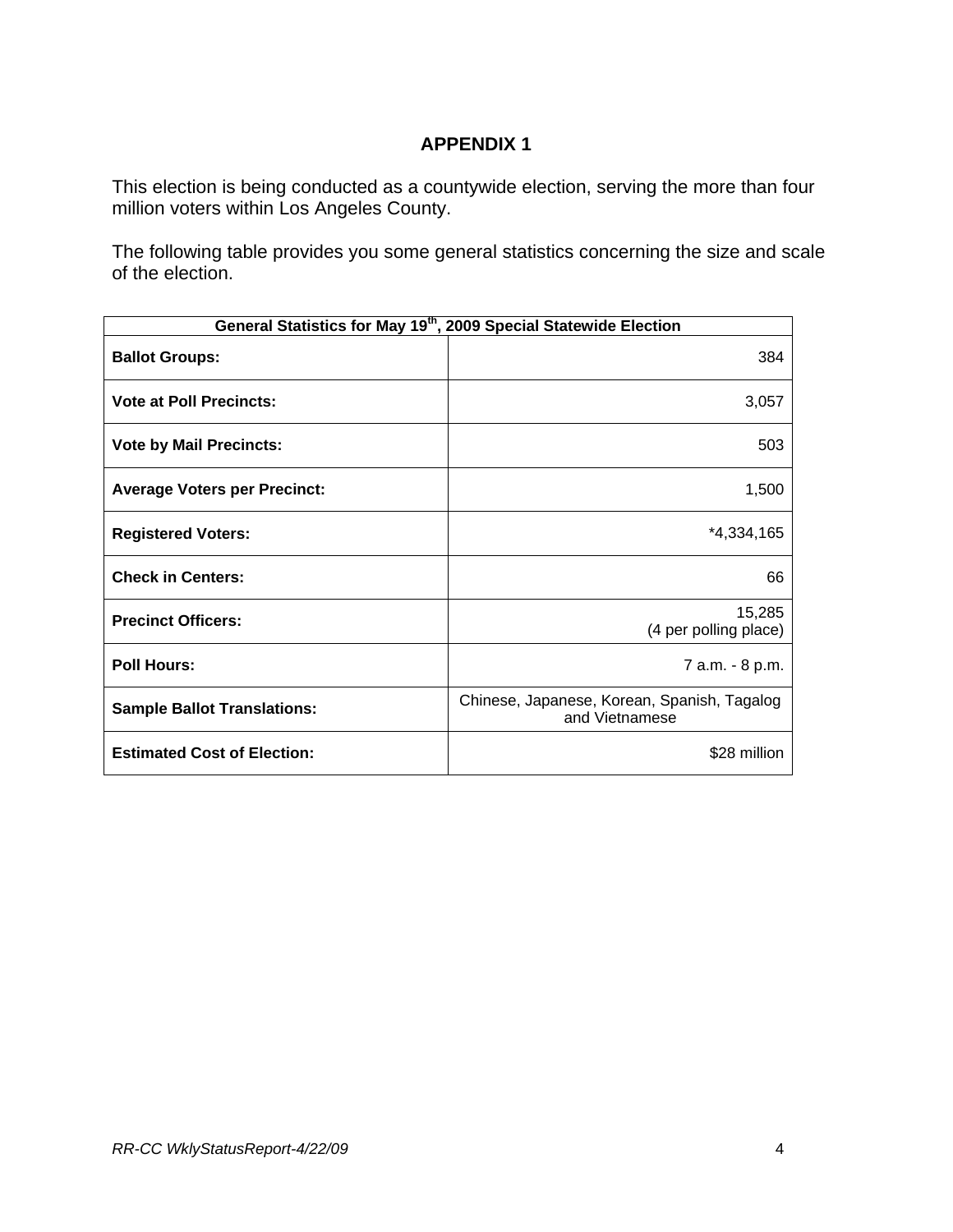## **APPENDIX 1**

This election is being conducted as a countywide election, serving the more than four million voters within Los Angeles County.

The following table provides you some general statistics concerning the size and scale of the election.

| General Statistics for May 19 <sup>th</sup> , 2009 Special Statewide Election |                                                               |  |  |  |
|-------------------------------------------------------------------------------|---------------------------------------------------------------|--|--|--|
| <b>Ballot Groups:</b>                                                         | 384                                                           |  |  |  |
| <b>Vote at Poll Precincts:</b>                                                | 3,057                                                         |  |  |  |
| <b>Vote by Mail Precincts:</b>                                                | 503                                                           |  |  |  |
| <b>Average Voters per Precinct:</b>                                           | 1,500                                                         |  |  |  |
| <b>Registered Voters:</b>                                                     | $*4,334,165$                                                  |  |  |  |
| <b>Check in Centers:</b>                                                      | 66                                                            |  |  |  |
| <b>Precinct Officers:</b>                                                     | 15,285<br>(4 per polling place)                               |  |  |  |
| <b>Poll Hours:</b>                                                            | 7 a.m. - 8 p.m.                                               |  |  |  |
| <b>Sample Ballot Translations:</b>                                            | Chinese, Japanese, Korean, Spanish, Tagalog<br>and Vietnamese |  |  |  |
| <b>Estimated Cost of Election:</b>                                            | \$28 million                                                  |  |  |  |